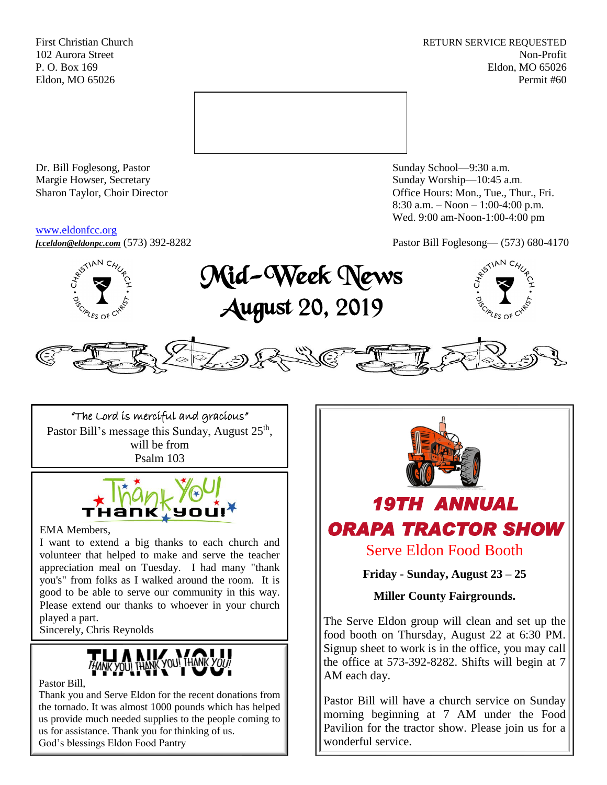First Christian Church **RETURN SERVICE REQUESTED** 102 Aurora Street Non-Profit P. O. Box 169 Eldon, MO 65026 Eldon, MO 65026 Permit #60



Dr. Bill Foglesong, Pastor Sunday School—9:30 a.m. Margie Howser, Secretary Sunday Worship—10:45 a.m.

#### [www.eldonfcc.org](http://www.eldonfcc.org/)

Sharon Taylor, Choir Director **Calcular Control** Control Control Control Control Control Control Control Control Control Control Control Control Control Control Control Control Control Control Control Control Control Contr 8:30 a.m. – Noon – 1:00-4:00 p.m. Wed. 9:00 am-Noon-1:00-4:00 pm

*[fcceldon@eldonpc.com](mailto:fcceldon@eldonpc.com)* (573) 392-8282 Pastor Bill Foglesong— (573) 680-4170



Mid-Week News August 20, 2019





"The Lord is merciful and gracious" Pastor Bill's message this Sunday, August 25<sup>th</sup>, will be from Psalm 103



EMA Members,

I want to extend a big thanks to each church and volunteer that helped to make and serve the teacher appreciation meal on Tuesday. I had many "thank you's" from folks as I walked around the room. It is good to be able to serve our community in this way. Please extend our thanks to whoever in your church played a part.

Sincerely, Chris Reynolds



Pastor Bill,

Thank you and Serve Eldon for the recent donations from the tornado. It was almost 1000 pounds which has helped us provide much needed supplies to the people coming to us for assistance. Thank you for thinking of us. God's blessings Eldon Food Pantry



The Serve Eldon group will clean and set up the food booth on Thursday, August 22 at 6:30 PM. Signup sheet to work is in the office, you may call the office at 573-392-8282. Shifts will begin at 7 AM each day.

Pastor Bill will have a church service on Sunday morning beginning at 7 AM under the Food Pavilion for the tractor show. Please join us for a wonderful service.